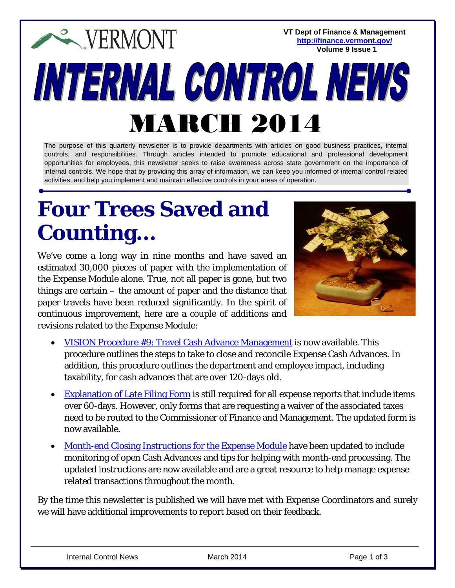**VT Dept of Finance & Management EXPERMONT <http://finance.vermont.gov/> Volume 9 Issue 1**INTERNAL CONTROL NEWS MARCH 2014

The purpose of this quarterly newsletter is to provide departments with articles on good business practices, internal controls, and responsibilities. Through articles intended to promote educational and professional development opportunities for employees, this newsletter seeks to raise awareness across state government on the importance of internal controls. We hope that by providing this array of information, we can keep you informed of internal control related activities, and help you implement and maintain effective controls in your areas of operation.

## **Four Trees Saved and Counting…**

We've come a long way in nine months and have saved an estimated 30,000 pieces of paper with the implementation of the Expense Module alone. True, not all paper is gone, but two things are certain – the amount of paper and the distance that paper travels have been reduced significantly. In the spirit of continuous improvement, here are a couple of additions and revisions related to the Expense Module:



- [VISION Procedure #9: Travel Cash Advance Management](http://finance.vermont.gov/policies_procedures/vision_procedures#VP) is now available. This procedure outlines the steps to take to close and reconcile Expense Cash Advances. In addition, this procedure outlines the department and employee impact, including taxability, for cash advances that are over 120-days old.
- [Explanation of Late Filing Form](http://finance.vermont.gov/forms#VISION) is still required for all expense reports that include items over 60-days. However, only forms that are requesting a waiver of the associated taxes need to be routed to the Commissioner of Finance and Management. The updated form is now available.
- [Month-end Closing Instructions for the Expense Module](http://finance.vermont.gov/policies_procedures/vision_procedures#closing) have been updated to include monitoring of open Cash Advances and tips for helping with month-end processing. The updated instructions are now available and are a great resource to help manage expense related transactions throughout the month.

By the time this newsletter is published we will have met with Expense Coordinators and surely we will have additional improvements to report based on their feedback.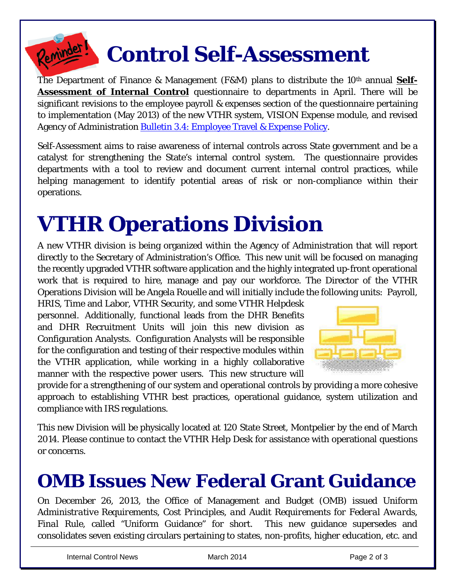

## **Control Self-Assessment**

The Department of Finance & Management (F&M) plans to distribute the 10<sup>th</sup> annual **Self-Assessment of Internal Control** questionnaire to departments in April. There will be significant revisions to the employee payroll & expenses section of the questionnaire pertaining to implementation (May 2013) of the new VTHR system, VISION Expense module, and revised Agency of Administration [Bulletin 3.4: Employee Travel & Expense Policy.](http://aoa.vermont.gov/bulletins)

*Self-Assessment* aims to raise awareness of internal controls across State government and be a catalyst for strengthening the State's internal control system. The questionnaire provides departments with a tool to review and document current internal control practices, while helping management to identify potential areas of risk or non-compliance within their operations.

# **VTHR Operations Division**

A new VTHR division is being organized within the Agency of Administration that will report directly to the Secretary of Administration's Office. This new unit will be focused on managing the recently upgraded VTHR software application and the highly integrated up-front operational work that is required to hire, manage and pay our workforce. The Director of the VTHR Operations Division will be Angela Rouelle and will initially include the following units: Payroll,

HRIS, Time and Labor, VTHR Security, and some VTHR Helpdesk personnel. Additionally, functional leads from the DHR Benefits and DHR Recruitment Units will join this new division as Configuration Analysts. Configuration Analysts will be responsible for the configuration and testing of their respective modules within the VTHR application, while working in a highly collaborative manner with the respective power users. This new structure will



provide for a strengthening of our system and operational controls by providing a more cohesive approach to establishing VTHR best practices, operational guidance, system utilization and compliance with IRS regulations.

This new Division will be physically located at 120 State Street, Montpelier by the end of March 2014. Please continue to contact the VTHR Help Desk for assistance with operational questions or concerns.

#### **OMB Issues New Federal Grant Guidance**

On December 26, 2013, the Office of Management and Budget (OMB) issued *Uniform Administrative Requirements, Cost Principles, and Audit Requirements for Federal Awards, Final Rule,* called "Uniform Guidance" for short. This new guidance supersedes and consolidates seven existing circulars pertaining to states, non-profits, higher education, etc. and